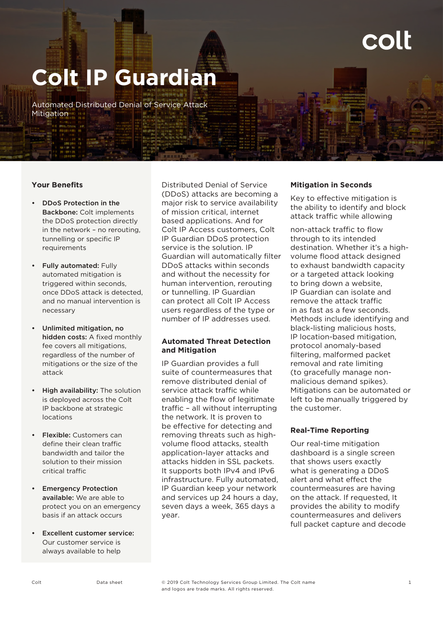# **Colt IP Guardian**

Automated Distributed Denial of Service Attack Mitigation

### **Your Benefits**

- DDoS Protection in the Backbone: Colt implements the DDoS protection directly in the network – no rerouting, tunnelling or specific IP requirements
- **Fully automated: Fully** automated mitigation is triggered within seconds, once DDoS attack is detected, and no manual intervention is necessary
- Unlimited mitigation, no hidden costs: A fixed monthly fee covers all mitigations, regardless of the number of mitigations or the size of the attack
- **High availability:** The solution is deployed across the Colt IP backbone at strategic locations
- Flexible: Customers can define their clean traffic bandwidth and tailor the solution to their mission critical traffic
- Emergency Protection available: We are able to protect you on an emergency basis if an attack occurs
- **Excellent customer service:** Our customer service is always available to help

Distributed Denial of Service (DDoS) attacks are becoming a major risk to service availability of mission critical, internet based applications. And for Colt IP Access customers, Colt IP Guardian DDoS protection service is the solution. IP Guardian will automatically filter DDoS attacks within seconds and without the necessity for human intervention, rerouting or tunnelling. IP Guardian can protect all Colt IP Access users regardless of the type or number of IP addresses used.

# **Automated Threat Detection and Mitigation**

IP Guardian provides a full suite of countermeasures that remove distributed denial of service attack traffic while enabling the flow of legitimate traffic – all without interrupting the network. It is proven to be effective for detecting and removing threats such as highvolume flood attacks, stealth application-layer attacks and attacks hidden in SSL packets. It supports both IPv4 and IPv6 infrastructure. Fully automated, IP Guardian keep your network and services up 24 hours a day, seven days a week, 365 days a year.

### **Mitigation in Seconds**

Key to effective mitigation is the ability to identify and block attack traffic while allowing

non-attack traffic to flow through to its intended destination. Whether it's a highvolume flood attack designed to exhaust bandwidth capacity or a targeted attack looking to bring down a website, IP Guardian can isolate and remove the attack traffic in as fast as a few seconds. Methods include identifying and black-listing malicious hosts, IP location-based mitigation, protocol anomaly-based filtering, malformed packet removal and rate limiting (to gracefully manage nonmalicious demand spikes). Mitigations can be automated or left to be manually triggered by the customer.

# **Real-Time Reporting**

Our real-time mitigation dashboard is a single screen that shows users exactly what is generating a DDoS alert and what effect the countermeasures are having on the attack. If requested, It provides the ability to modify countermeasures and delivers full packet capture and decode